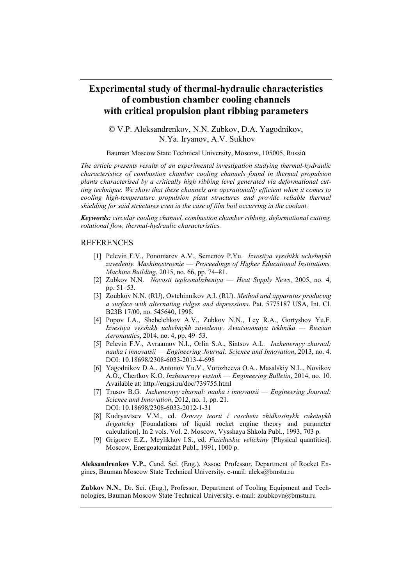## **Experimental study of thermal-hydraulic characteristics of combustion chamber cooling channels with critical propulsion plant ribbing parameters**

© V.P. Aleksandrenkov, N.N. Zubkov, D.A. Yagodnikov, N.Ya. Iryanov, A.V. Sukhov

Bauman Moscow State Technical University, Moscow, 105005, Russia

*The article presents results of an experimental investigation studying thermal-hydraulic characteristics of combustion chamber cooling channels found in thermal propulsion plants characterised by a critically high ribbing level generated via deformational cutting technique. We show that these channels are operationally efficient when it comes to cooling high-temperature propulsion plant structures and provide reliable thermal shielding for said structures even in the case of film boil occurring in the coolant.* 

*Keywords: circular cooling channel, combustion chamber ribbing, deformational cutting, rotational flow, thermal-hydraulic characteristics.*

## REFERENCES

- [1] Pelevin F.V., Ponomarev A.V., Semenov P.Yu. *Izvestiya vysshikh uchebnykh zavedeniy. Mashinostroenie* — *Proceedings of Higher Educational Institutions. Маchine Building*, 2015, no. 66, pp. 74–81.
- [2] Zubkov N.N. *Novosti teplosnabzheniya Heat Supply News*, 2005, no. 4, pp. 51–53.
- [3] Zoubkov N.N. (RU), Ovtchinnikov A.I. (RU). *Method and apparatus producing a surface with alternating ridges and depressions*. Pat. 5775187 USA, Int. Cl. B23B 17/00, no. 545640, 1998.
- [4] Popov I.A., Shchelchkov A.V., Zubkov N.N., Ley R.A., Gortyshov Yu.F. *Izvestiya vysshikh uchebnykh zavedeniy. Aviatsionnaya tekhnika — Russian Aeronautics*, 2014, no. 4, pp. 49–53.
- [5] Pelevin F.V., Avraamov N.I., Orlin S.A., Sintsov A.L. *Inzhenernyy zhurnal: nauka i innovatsii* — *Engineering Journal: Science and Innovation*, 2013, no. 4. DOI: 10.18698/2308-6033-2013-4-698
- [6] Yagodnikov D.A., Antonov Yu.V., Vorozheeva O.A., Masalskiy N.L., Novikov A.O., Chertkov K.O. *Inzhenernyy vestnik* — *Engineering Bulletin*, 2014, no. 10. Available at: http://engsi.ru/doc/739755.html
- [7] Trusov B.G. *Inzhenernyy zhurnal: nauka i innovatsii Engineering Journal: Science and Innovation*, 2012, no. 1, pp. 21. DOI: 10.18698/2308-6033-2012-1-31
- [8] Kudryavtsev V.M., ed. *Osnovy teorii i rascheta zhidkostnykh raketnykh dvigateley* [Foundations of liquid rocket engine theory and parameter calculation]. In 2 vols. Vol. 2. Moscow, Vysshaya Shkola Publ., 1993, 703 p.
- [9] Grigorev E.Z., Meylikhov I.S., ed. *Fizicheskie velichiny* [Physical quantities]. Moscow, Energoatomizdat Publ., 1991, 1000 p.

**Aleksandrenkov V.P.**, Cand. Sci. (Eng.), Assoc. Professor, Department of Rocket Engines, Bauman Moscow State Technical University. e-mail: aleks@bmstu.ru

**Zubkov N.N.**, Dr. Sci. (Eng.), Professor, Department of Tooling Equipment and Technologies, Bauman Moscow State Technical University. e-mail: zoubkovn@bmstu.ru